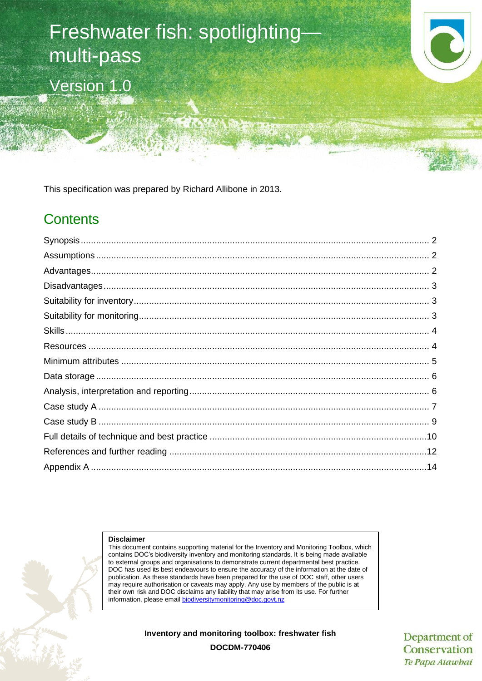# Freshwater fish: spotlighting multi-pass Version 1.0



This specification was prepared by Richard Allibone in 2013.

# **Contents**

#### **Disclaimer**

This document contains supporting material for the Inventory and Monitoring Toolbox, which contains DOC's biodiversity inventory and monitoring standards. It is being made available to external groups and organisations to demonstrate current departmental best practice. DOC has used its best endeavours to ensure the accuracy of the information at the date of publication. As these standards have been prepared for the use of DOC staff, other users may require authorisation or caveats may apply. Any use by members of the public is at their own risk and DOC disclaims any liability that may arise from its use. For further information, please email [biodiversitymonitoring@doc.govt.nz](mailto:biodiversitymonitoring@doc.govt.nz)

**Inventory and monitoring toolbox: freshwater fish**

Department of Conservation Te Papa Atawbai

**DOCDM-770406**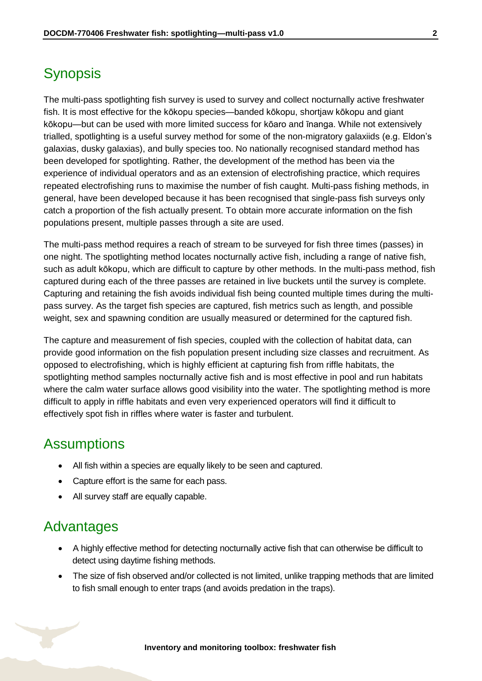# <span id="page-1-0"></span>**Synopsis**

The multi-pass spotlighting fish survey is used to survey and collect nocturnally active freshwater fish. It is most effective for the kōkopu species—banded kōkopu, shortjaw kōkopu and giant kōkopu—but can be used with more limited success for kōaro and īnanga. While not extensively trialled, spotlighting is a useful survey method for some of the non-migratory galaxiids (e.g. Eldon's galaxias, dusky galaxias), and bully species too. No nationally recognised standard method has been developed for spotlighting. Rather, the development of the method has been via the experience of individual operators and as an extension of electrofishing practice, which requires repeated electrofishing runs to maximise the number of fish caught. Multi-pass fishing methods, in general, have been developed because it has been recognised that single-pass fish surveys only catch a proportion of the fish actually present. To obtain more accurate information on the fish populations present, multiple passes through a site are used.

The multi-pass method requires a reach of stream to be surveyed for fish three times (passes) in one night. The spotlighting method locates nocturnally active fish, including a range of native fish, such as adult kōkopu, which are difficult to capture by other methods. In the multi-pass method, fish captured during each of the three passes are retained in live buckets until the survey is complete. Capturing and retaining the fish avoids individual fish being counted multiple times during the multipass survey. As the target fish species are captured, fish metrics such as length, and possible weight, sex and spawning condition are usually measured or determined for the captured fish.

The capture and measurement of fish species, coupled with the collection of habitat data, can provide good information on the fish population present including size classes and recruitment. As opposed to electrofishing, which is highly efficient at capturing fish from riffle habitats, the spotlighting method samples nocturnally active fish and is most effective in pool and run habitats where the calm water surface allows good visibility into the water. The spotlighting method is more difficult to apply in riffle habitats and even very experienced operators will find it difficult to effectively spot fish in riffles where water is faster and turbulent.

### <span id="page-1-1"></span>**Assumptions**

- All fish within a species are equally likely to be seen and captured.
- Capture effort is the same for each pass.
- All survey staff are equally capable.

### <span id="page-1-2"></span>Advantages

- A highly effective method for detecting nocturnally active fish that can otherwise be difficult to detect using daytime fishing methods.
- The size of fish observed and/or collected is not limited, unlike trapping methods that are limited to fish small enough to enter traps (and avoids predation in the traps).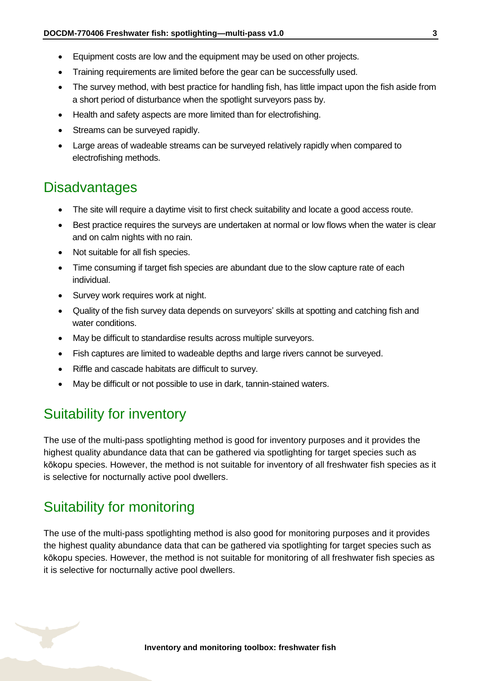- Equipment costs are low and the equipment may be used on other projects.
- Training requirements are limited before the gear can be successfully used.
- The survey method, with best practice for handling fish, has little impact upon the fish aside from a short period of disturbance when the spotlight surveyors pass by.
- Health and safety aspects are more limited than for electrofishing.
- Streams can be surveyed rapidly.
- Large areas of wadeable streams can be surveyed relatively rapidly when compared to electrofishing methods.

# <span id="page-2-0"></span>**Disadvantages**

- The site will require a daytime visit to first check suitability and locate a good access route.
- Best practice requires the surveys are undertaken at normal or low flows when the water is clear and on calm nights with no rain.
- Not suitable for all fish species.
- Time consuming if target fish species are abundant due to the slow capture rate of each individual.
- Survey work requires work at night.
- Quality of the fish survey data depends on surveyors' skills at spotting and catching fish and water conditions.
- May be difficult to standardise results across multiple surveyors.
- Fish captures are limited to wadeable depths and large rivers cannot be surveyed.
- Riffle and cascade habitats are difficult to survey.
- May be difficult or not possible to use in dark, tannin-stained waters.

# <span id="page-2-1"></span>Suitability for inventory

The use of the multi-pass spotlighting method is good for inventory purposes and it provides the highest quality abundance data that can be gathered via spotlighting for target species such as kōkopu species. However, the method is not suitable for inventory of all freshwater fish species as it is selective for nocturnally active pool dwellers.

# <span id="page-2-2"></span>Suitability for monitoring

The use of the multi-pass spotlighting method is also good for monitoring purposes and it provides the highest quality abundance data that can be gathered via spotlighting for target species such as kōkopu species. However, the method is not suitable for monitoring of all freshwater fish species as it is selective for nocturnally active pool dwellers.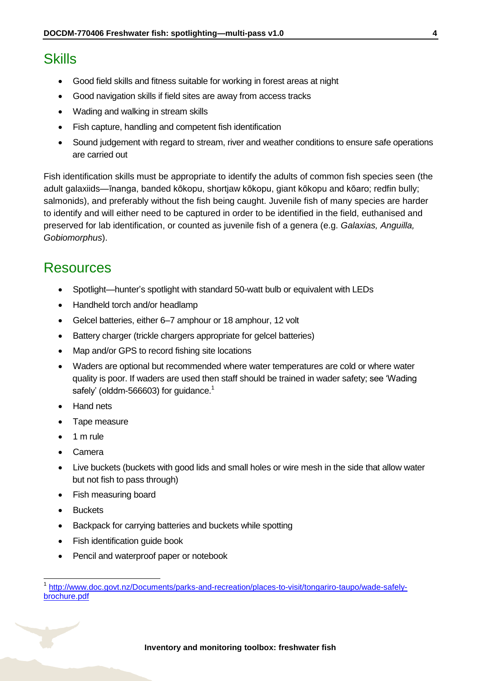# <span id="page-3-0"></span>**Skills**

- Good field skills and fitness suitable for working in forest areas at night
- Good navigation skills if field sites are away from access tracks
- Wading and walking in stream skills
- Fish capture, handling and competent fish identification
- Sound judgement with regard to stream, river and weather conditions to ensure safe operations are carried out

Fish identification skills must be appropriate to identify the adults of common fish species seen (the adult galaxiids—īnanga, banded kōkopu, shortjaw kōkopu, giant kōkopu and kōaro; redfin bully; salmonids), and preferably without the fish being caught. Juvenile fish of many species are harder to identify and will either need to be captured in order to be identified in the field, euthanised and preserved for lab identification, or counted as juvenile fish of a genera (e.g. *Galaxias, Anguilla, Gobiomorphus*).

### <span id="page-3-1"></span>Resources

- Spotlight—hunter's spotlight with standard 50-watt bulb or equivalent with LEDs
- Handheld torch and/or headlamp
- Gelcel batteries, either 6–7 amphour or 18 amphour, 12 volt
- Battery charger (trickle chargers appropriate for gelcel batteries)
- Map and/or GPS to record fishing site locations
- Waders are optional but recommended where water temperatures are cold or where water quality is poor. If waders are used then staff should be trained in wader safety; see 'Wading safely' (olddm-566603) for guidance.<sup>1</sup>
- Hand nets
- Tape measure
- 1 m rule
- Camera
- Live buckets (buckets with good lids and small holes or wire mesh in the side that allow water but not fish to pass through)
- Fish measuring board
- Buckets

 $\overline{1}$ 

- Backpack for carrying batteries and buckets while spotting
- Fish identification guide book
- Pencil and waterproof paper or notebook

<sup>1</sup> [http://www.doc.govt.nz/Documents/parks-and-recreation/places-to-visit/tongariro-taupo/wade-safely](http://www.doc.govt.nz/Documents/parks-and-recreation/places-to-visit/tongariro-taupo/wade-safely-brochure.pdf)[brochure.pdf](http://www.doc.govt.nz/Documents/parks-and-recreation/places-to-visit/tongariro-taupo/wade-safely-brochure.pdf)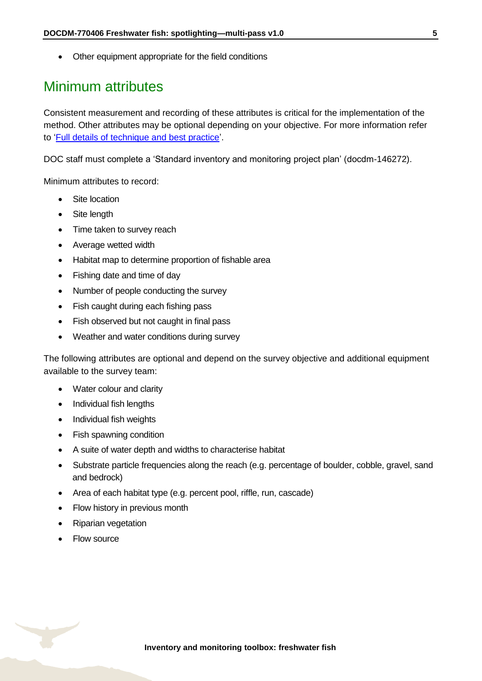Other equipment appropriate for the field conditions

# <span id="page-4-0"></span>Minimum attributes

Consistent measurement and recording of these attributes is critical for the implementation of the method. Other attributes may be optional depending on your objective. For more information refer to ['Full details of technique and best practice'](#page-9-0).

DOC staff must complete a 'Standard inventory and monitoring project plan' (docdm-146272).

Minimum attributes to record:

- Site location
- Site length
- Time taken to survey reach
- Average wetted width
- Habitat map to determine proportion of fishable area
- Fishing date and time of day
- Number of people conducting the survey
- Fish caught during each fishing pass
- Fish observed but not caught in final pass
- Weather and water conditions during survey

The following attributes are optional and depend on the survey objective and additional equipment available to the survey team:

- Water colour and clarity
- Individual fish lengths
- Individual fish weights
- Fish spawning condition
- A suite of water depth and widths to characterise habitat
- Substrate particle frequencies along the reach (e.g. percentage of boulder, cobble, gravel, sand and bedrock)
- Area of each habitat type (e.g. percent pool, riffle, run, cascade)
- Flow history in previous month
- Riparian vegetation
- Flow source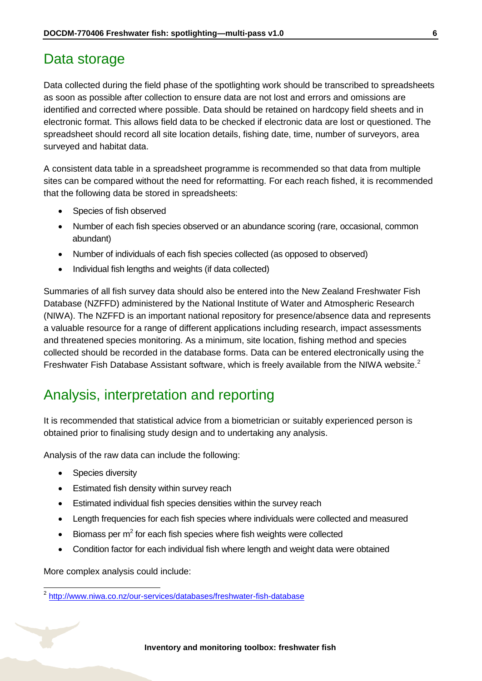### <span id="page-5-0"></span>Data storage

Data collected during the field phase of the spotlighting work should be transcribed to spreadsheets as soon as possible after collection to ensure data are not lost and errors and omissions are identified and corrected where possible. Data should be retained on hardcopy field sheets and in electronic format. This allows field data to be checked if electronic data are lost or questioned. The spreadsheet should record all site location details, fishing date, time, number of surveyors, area surveyed and habitat data.

A consistent data table in a spreadsheet programme is recommended so that data from multiple sites can be compared without the need for reformatting. For each reach fished, it is recommended that the following data be stored in spreadsheets:

- Species of fish observed
- Number of each fish species observed or an abundance scoring (rare, occasional, common abundant)
- Number of individuals of each fish species collected (as opposed to observed)
- Individual fish lengths and weights (if data collected)

Summaries of all fish survey data should also be entered into the New Zealand Freshwater Fish Database (NZFFD) administered by the National Institute of Water and Atmospheric Research (NIWA). The NZFFD is an important national repository for presence/absence data and represents a valuable resource for a range of different applications including research, impact assessments and threatened species monitoring. As a minimum, site location, fishing method and species collected should be recorded in the database forms. Data can be entered electronically using the Freshwater Fish Database Assistant software, which is freely available from the NIWA website.<sup>2</sup>

# <span id="page-5-1"></span>Analysis, interpretation and reporting

It is recommended that statistical advice from a biometrician or suitably experienced person is obtained prior to finalising study design and to undertaking any analysis.

Analysis of the raw data can include the following:

- Species diversity
- Estimated fish density within survey reach
- Estimated individual fish species densities within the survey reach
- Length frequencies for each fish species where individuals were collected and measured
- $\bullet$  Biomass per m<sup>2</sup> for each fish species where fish weights were collected
- Condition factor for each individual fish where length and weight data were obtained

More complex analysis could include:

 2 <http://www.niwa.co.nz/our-services/databases/freshwater-fish-database>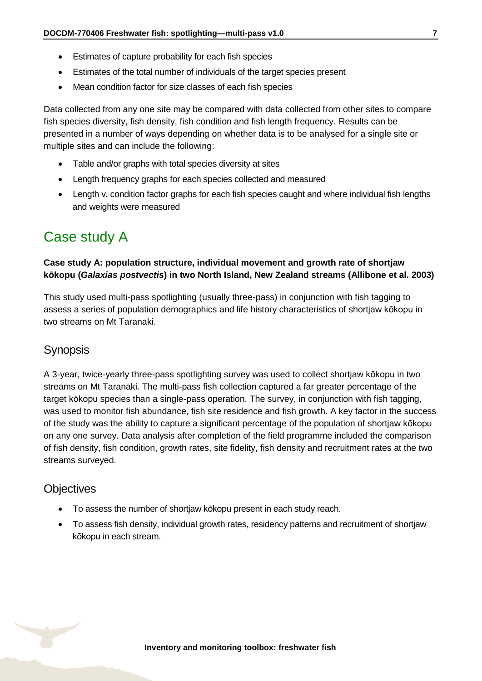- Estimates of capture probability for each fish species
- Estimates of the total number of individuals of the target species present
- Mean condition factor for size classes of each fish species

Data collected from any one site may be compared with data collected from other sites to compare fish species diversity, fish density, fish condition and fish length frequency. Results can be presented in a number of ways depending on whether data is to be analysed for a single site or multiple sites and can include the following:

- Table and/or graphs with total species diversity at sites
- Length frequency graphs for each species collected and measured
- Length v. condition factor graphs for each fish species caught and where individual fish lengths and weights were measured

# <span id="page-6-0"></span>Case study A

### **Case study A: population structure, individual movement and growth rate of shortjaw kōkopu (***Galaxias postvectis***) in two North Island, New Zealand streams (Allibone et al. 2003)**

This study used multi-pass spotlighting (usually three-pass) in conjunction with fish tagging to assess a series of population demographics and life history characteristics of shortjaw kōkopu in two streams on Mt Taranaki.

### **Synopsis**

A 3-year, twice-yearly three-pass spotlighting survey was used to collect shortjaw kōkopu in two streams on Mt Taranaki. The multi-pass fish collection captured a far greater percentage of the target kōkopu species than a single-pass operation. The survey, in conjunction with fish tagging, was used to monitor fish abundance, fish site residence and fish growth. A key factor in the success of the study was the ability to capture a significant percentage of the population of shortjaw kōkopu on any one survey. Data analysis after completion of the field programme included the comparison of fish density, fish condition, growth rates, site fidelity, fish density and recruitment rates at the two streams surveyed.

### **Objectives**

- To assess the number of shortjaw kōkopu present in each study reach.
- To assess fish density, individual growth rates, residency patterns and recruitment of shortjaw kōkopu in each stream.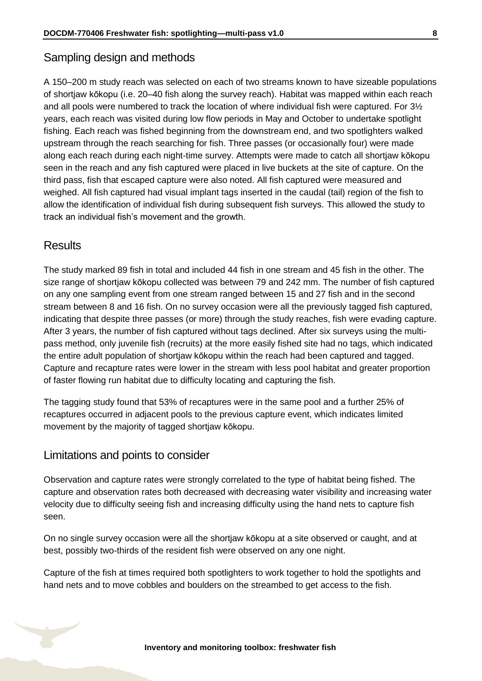### Sampling design and methods

A 150–200 m study reach was selected on each of two streams known to have sizeable populations of shortjaw kōkopu (i.e. 20–40 fish along the survey reach). Habitat was mapped within each reach and all pools were numbered to track the location of where individual fish were captured. For 3½ years, each reach was visited during low flow periods in May and October to undertake spotlight fishing. Each reach was fished beginning from the downstream end, and two spotlighters walked upstream through the reach searching for fish. Three passes (or occasionally four) were made along each reach during each night-time survey. Attempts were made to catch all shortjaw kōkopu seen in the reach and any fish captured were placed in live buckets at the site of capture. On the third pass, fish that escaped capture were also noted. All fish captured were measured and weighed. All fish captured had visual implant tags inserted in the caudal (tail) region of the fish to allow the identification of individual fish during subsequent fish surveys. This allowed the study to track an individual fish's movement and the growth.

### **Results**

The study marked 89 fish in total and included 44 fish in one stream and 45 fish in the other. The size range of shortjaw kōkopu collected was between 79 and 242 mm. The number of fish captured on any one sampling event from one stream ranged between 15 and 27 fish and in the second stream between 8 and 16 fish. On no survey occasion were all the previously tagged fish captured, indicating that despite three passes (or more) through the study reaches, fish were evading capture. After 3 years, the number of fish captured without tags declined. After six surveys using the multipass method, only juvenile fish (recruits) at the more easily fished site had no tags, which indicated the entire adult population of shortjaw kōkopu within the reach had been captured and tagged. Capture and recapture rates were lower in the stream with less pool habitat and greater proportion of faster flowing run habitat due to difficulty locating and capturing the fish.

The tagging study found that 53% of recaptures were in the same pool and a further 25% of recaptures occurred in adjacent pools to the previous capture event, which indicates limited movement by the majority of tagged shortjaw kōkopu.

#### Limitations and points to consider

Observation and capture rates were strongly correlated to the type of habitat being fished. The capture and observation rates both decreased with decreasing water visibility and increasing water velocity due to difficulty seeing fish and increasing difficulty using the hand nets to capture fish seen.

On no single survey occasion were all the shortjaw kōkopu at a site observed or caught, and at best, possibly two-thirds of the resident fish were observed on any one night.

Capture of the fish at times required both spotlighters to work together to hold the spotlights and hand nets and to move cobbles and boulders on the streambed to get access to the fish.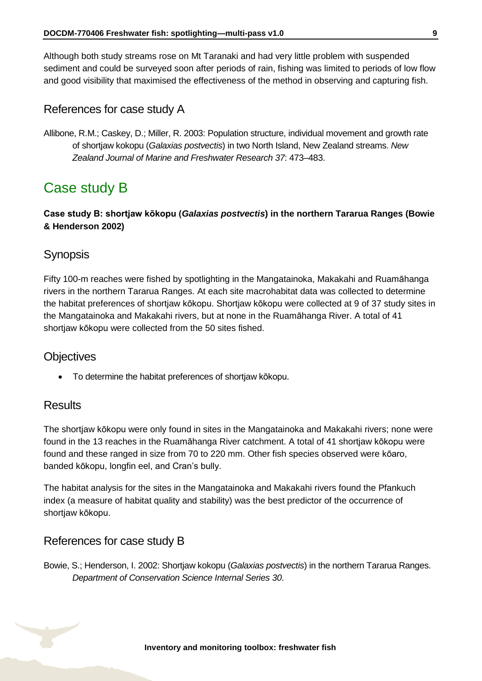Although both study streams rose on Mt Taranaki and had very little problem with suspended sediment and could be surveyed soon after periods of rain, fishing was limited to periods of low flow and good visibility that maximised the effectiveness of the method in observing and capturing fish.

### References for case study A

Allibone, R.M.; Caskey, D.; Miller, R. 2003: Population structure, individual movement and growth rate of shortjaw kokopu (*Galaxias postvectis*) in two North Island, New Zealand streams. *New Zealand Journal of Marine and Freshwater Research 37*: 473–483.

# <span id="page-8-0"></span>Case study B

#### **Case study B: shortjaw kōkopu (***Galaxias postvectis***) in the northern Tararua Ranges (Bowie & Henderson 2002)**

### **Synopsis**

Fifty 100-m reaches were fished by spotlighting in the Mangatainoka, Makakahi and Ruamāhanga rivers in the northern Tararua Ranges. At each site macrohabitat data was collected to determine the habitat preferences of shortjaw kōkopu. Shortjaw kōkopu were collected at 9 of 37 study sites in the Mangatainoka and Makakahi rivers, but at none in the Ruamāhanga River. A total of 41 shortjaw kōkopu were collected from the 50 sites fished.

### **Objectives**

To determine the habitat preferences of shortjaw kōkopu.

### **Results**

The shortjaw kōkopu were only found in sites in the Mangatainoka and Makakahi rivers; none were found in the 13 reaches in the Ruamāhanga River catchment. A total of 41 shortjaw kōkopu were found and these ranged in size from 70 to 220 mm. Other fish species observed were kōaro, banded kōkopu, longfin eel, and Cran's bully.

The habitat analysis for the sites in the Mangatainoka and Makakahi rivers found the Pfankuch index (a measure of habitat quality and stability) was the best predictor of the occurrence of shortjaw kōkopu.

#### References for case study B

Bowie, S.; Henderson, I. 2002: Shortjaw kokopu (*Galaxias postvectis*) in the northern Tararua Ranges. *Department of Conservation Science Internal Series 30*.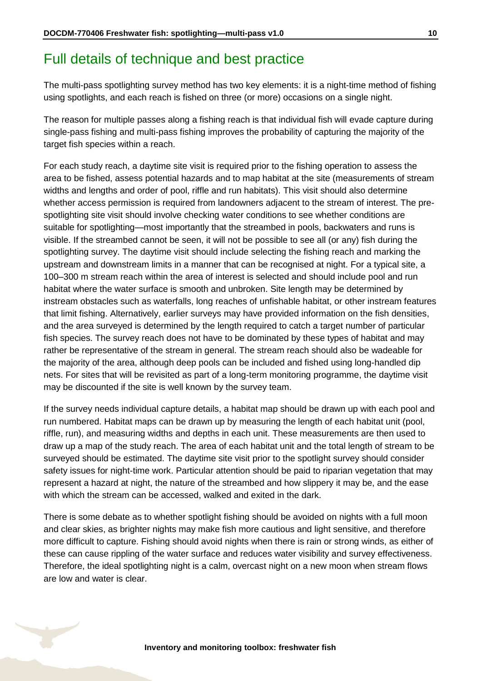# <span id="page-9-0"></span>Full details of technique and best practice

The multi-pass spotlighting survey method has two key elements: it is a night-time method of fishing using spotlights, and each reach is fished on three (or more) occasions on a single night.

The reason for multiple passes along a fishing reach is that individual fish will evade capture during single-pass fishing and multi-pass fishing improves the probability of capturing the majority of the target fish species within a reach.

For each study reach, a daytime site visit is required prior to the fishing operation to assess the area to be fished, assess potential hazards and to map habitat at the site (measurements of stream widths and lengths and order of pool, riffle and run habitats). This visit should also determine whether access permission is required from landowners adjacent to the stream of interest. The prespotlighting site visit should involve checking water conditions to see whether conditions are suitable for spotlighting—most importantly that the streambed in pools, backwaters and runs is visible. If the streambed cannot be seen, it will not be possible to see all (or any) fish during the spotlighting survey. The daytime visit should include selecting the fishing reach and marking the upstream and downstream limits in a manner that can be recognised at night. For a typical site, a 100–300 m stream reach within the area of interest is selected and should include pool and run habitat where the water surface is smooth and unbroken. Site length may be determined by instream obstacles such as waterfalls, long reaches of unfishable habitat, or other instream features that limit fishing. Alternatively, earlier surveys may have provided information on the fish densities, and the area surveyed is determined by the length required to catch a target number of particular fish species. The survey reach does not have to be dominated by these types of habitat and may rather be representative of the stream in general. The stream reach should also be wadeable for the majority of the area, although deep pools can be included and fished using long-handled dip nets. For sites that will be revisited as part of a long-term monitoring programme, the daytime visit may be discounted if the site is well known by the survey team.

If the survey needs individual capture details, a habitat map should be drawn up with each pool and run numbered. Habitat maps can be drawn up by measuring the length of each habitat unit (pool, riffle, run), and measuring widths and depths in each unit. These measurements are then used to draw up a map of the study reach. The area of each habitat unit and the total length of stream to be surveyed should be estimated. The daytime site visit prior to the spotlight survey should consider safety issues for night-time work. Particular attention should be paid to riparian vegetation that may represent a hazard at night, the nature of the streambed and how slippery it may be, and the ease with which the stream can be accessed, walked and exited in the dark.

There is some debate as to whether spotlight fishing should be avoided on nights with a full moon and clear skies, as brighter nights may make fish more cautious and light sensitive, and therefore more difficult to capture. Fishing should avoid nights when there is rain or strong winds, as either of these can cause rippling of the water surface and reduces water visibility and survey effectiveness. Therefore, the ideal spotlighting night is a calm, overcast night on a new moon when stream flows are low and water is clear.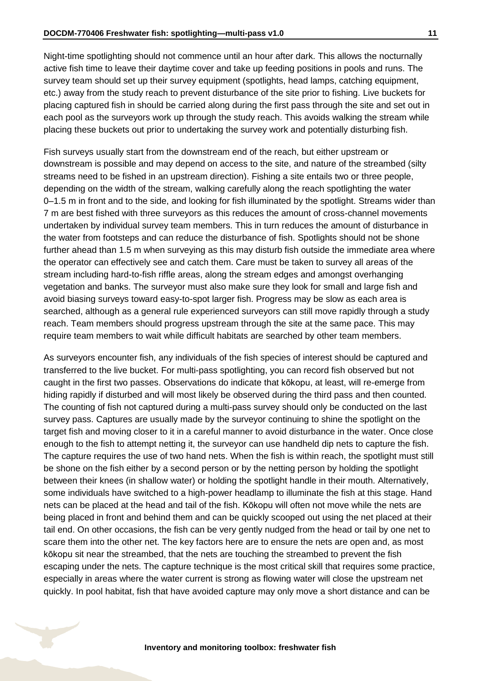Night-time spotlighting should not commence until an hour after dark. This allows the nocturnally active fish time to leave their daytime cover and take up feeding positions in pools and runs. The survey team should set up their survey equipment (spotlights, head lamps, catching equipment, etc.) away from the study reach to prevent disturbance of the site prior to fishing. Live buckets for placing captured fish in should be carried along during the first pass through the site and set out in each pool as the surveyors work up through the study reach. This avoids walking the stream while placing these buckets out prior to undertaking the survey work and potentially disturbing fish.

Fish surveys usually start from the downstream end of the reach, but either upstream or downstream is possible and may depend on access to the site, and nature of the streambed (silty streams need to be fished in an upstream direction). Fishing a site entails two or three people, depending on the width of the stream, walking carefully along the reach spotlighting the water 0–1.5 m in front and to the side, and looking for fish illuminated by the spotlight. Streams wider than 7 m are best fished with three surveyors as this reduces the amount of cross-channel movements undertaken by individual survey team members. This in turn reduces the amount of disturbance in the water from footsteps and can reduce the disturbance of fish. Spotlights should not be shone further ahead than 1.5 m when surveying as this may disturb fish outside the immediate area where the operator can effectively see and catch them. Care must be taken to survey all areas of the stream including hard-to-fish riffle areas, along the stream edges and amongst overhanging vegetation and banks. The surveyor must also make sure they look for small and large fish and avoid biasing surveys toward easy-to-spot larger fish. Progress may be slow as each area is searched, although as a general rule experienced surveyors can still move rapidly through a study reach. Team members should progress upstream through the site at the same pace. This may require team members to wait while difficult habitats are searched by other team members.

As surveyors encounter fish, any individuals of the fish species of interest should be captured and transferred to the live bucket. For multi-pass spotlighting, you can record fish observed but not caught in the first two passes. Observations do indicate that kōkopu, at least, will re-emerge from hiding rapidly if disturbed and will most likely be observed during the third pass and then counted. The counting of fish not captured during a multi-pass survey should only be conducted on the last survey pass. Captures are usually made by the surveyor continuing to shine the spotlight on the target fish and moving closer to it in a careful manner to avoid disturbance in the water. Once close enough to the fish to attempt netting it, the surveyor can use handheld dip nets to capture the fish. The capture requires the use of two hand nets. When the fish is within reach, the spotlight must still be shone on the fish either by a second person or by the netting person by holding the spotlight between their knees (in shallow water) or holding the spotlight handle in their mouth. Alternatively, some individuals have switched to a high-power headlamp to illuminate the fish at this stage. Hand nets can be placed at the head and tail of the fish. Kōkopu will often not move while the nets are being placed in front and behind them and can be quickly scooped out using the net placed at their tail end. On other occasions, the fish can be very gently nudged from the head or tail by one net to scare them into the other net. The key factors here are to ensure the nets are open and, as most kōkopu sit near the streambed, that the nets are touching the streambed to prevent the fish escaping under the nets. The capture technique is the most critical skill that requires some practice, especially in areas where the water current is strong as flowing water will close the upstream net quickly. In pool habitat, fish that have avoided capture may only move a short distance and can be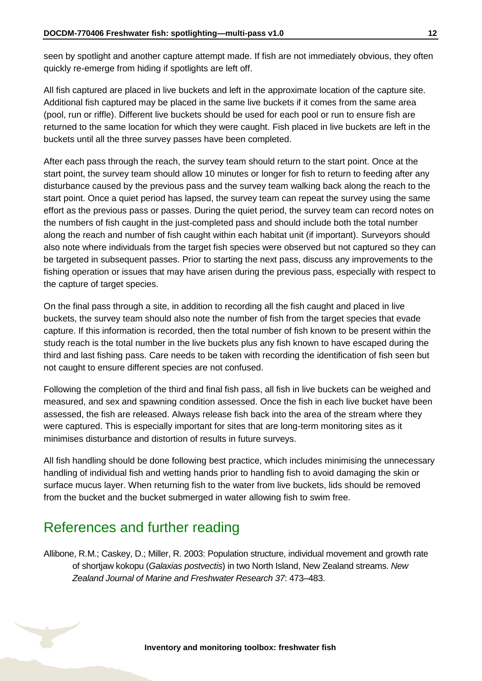seen by spotlight and another capture attempt made. If fish are not immediately obvious, they often quickly re-emerge from hiding if spotlights are left off.

All fish captured are placed in live buckets and left in the approximate location of the capture site. Additional fish captured may be placed in the same live buckets if it comes from the same area (pool, run or riffle). Different live buckets should be used for each pool or run to ensure fish are returned to the same location for which they were caught. Fish placed in live buckets are left in the buckets until all the three survey passes have been completed.

After each pass through the reach, the survey team should return to the start point. Once at the start point, the survey team should allow 10 minutes or longer for fish to return to feeding after any disturbance caused by the previous pass and the survey team walking back along the reach to the start point. Once a quiet period has lapsed, the survey team can repeat the survey using the same effort as the previous pass or passes. During the quiet period, the survey team can record notes on the numbers of fish caught in the just-completed pass and should include both the total number along the reach and number of fish caught within each habitat unit (if important). Surveyors should also note where individuals from the target fish species were observed but not captured so they can be targeted in subsequent passes. Prior to starting the next pass, discuss any improvements to the fishing operation or issues that may have arisen during the previous pass, especially with respect to the capture of target species.

On the final pass through a site, in addition to recording all the fish caught and placed in live buckets, the survey team should also note the number of fish from the target species that evade capture. If this information is recorded, then the total number of fish known to be present within the study reach is the total number in the live buckets plus any fish known to have escaped during the third and last fishing pass. Care needs to be taken with recording the identification of fish seen but not caught to ensure different species are not confused.

Following the completion of the third and final fish pass, all fish in live buckets can be weighed and measured, and sex and spawning condition assessed. Once the fish in each live bucket have been assessed, the fish are released. Always release fish back into the area of the stream where they were captured. This is especially important for sites that are long-term monitoring sites as it minimises disturbance and distortion of results in future surveys.

All fish handling should be done following best practice, which includes minimising the unnecessary handling of individual fish and wetting hands prior to handling fish to avoid damaging the skin or surface mucus layer. When returning fish to the water from live buckets, lids should be removed from the bucket and the bucket submerged in water allowing fish to swim free.

# <span id="page-11-0"></span>References and further reading

Allibone, R.M.; Caskey, D.; Miller, R. 2003: Population structure, individual movement and growth rate of shortjaw kokopu (*Galaxias postvectis*) in two North Island, New Zealand streams. *New Zealand Journal of Marine and Freshwater Research 37*: 473–483.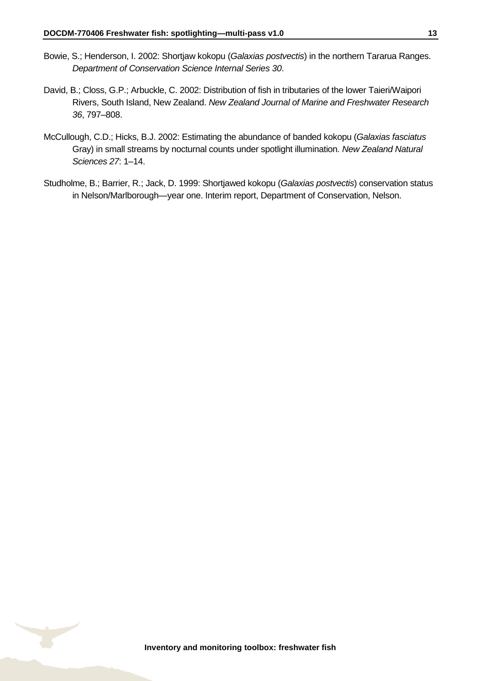- Bowie, S.; Henderson, I. 2002: Shortjaw kokopu (*Galaxias postvectis*) in the northern Tararua Ranges. *Department of Conservation Science Internal Series 30*.
- David, B.; Closs, G.P.; Arbuckle, C. 2002: Distribution of fish in tributaries of the lower Taieri/Waipori Rivers, South Island, New Zealand. *New Zealand Journal of Marine and Freshwater Research 36*, 797–808.
- McCullough, C.D.; Hicks, B.J. 2002: Estimating the abundance of banded kokopu (*Galaxias fasciatus* Gray) in small streams by nocturnal counts under spotlight illumination. *New Zealand Natural Sciences 27*: 1–14.
- Studholme, B.; Barrier, R.; Jack, D. 1999: Shortjawed kokopu (*Galaxias postvectis*) conservation status in Nelson/Marlborough—year one. Interim report, Department of Conservation, Nelson.